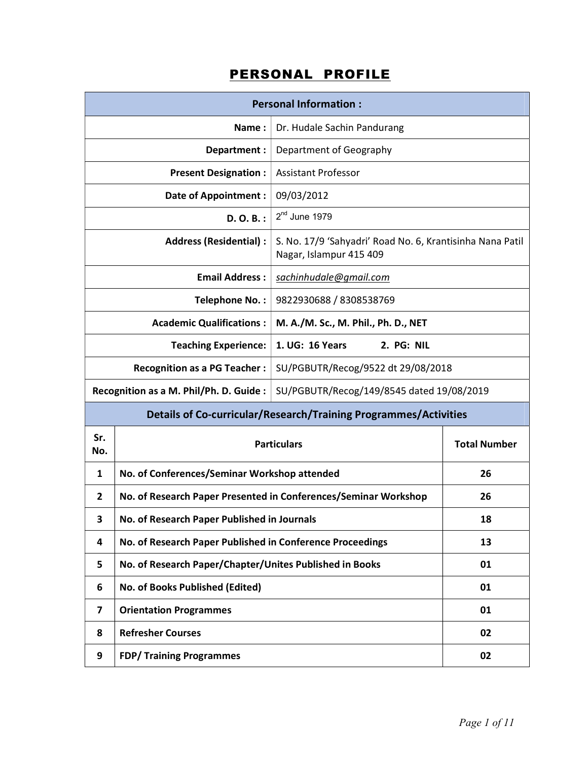|                                                                                                                       |                                                                           | <b>Personal Information:</b>                                     |                     |  |
|-----------------------------------------------------------------------------------------------------------------------|---------------------------------------------------------------------------|------------------------------------------------------------------|---------------------|--|
|                                                                                                                       | Name:                                                                     | Dr. Hudale Sachin Pandurang                                      |                     |  |
| Department :<br>Department of Geography                                                                               |                                                                           |                                                                  |                     |  |
|                                                                                                                       | <b>Present Designation:</b>                                               | <b>Assistant Professor</b>                                       |                     |  |
|                                                                                                                       | <b>Date of Appointment:</b>                                               | 09/03/2012                                                       |                     |  |
|                                                                                                                       | $D. O. B.$ :                                                              | $2nd$ June 1979                                                  |                     |  |
| <b>Address (Residential):</b><br>S. No. 17/9 'Sahyadri' Road No. 6, Krantisinha Nana Patil<br>Nagar, Islampur 415 409 |                                                                           |                                                                  |                     |  |
| <b>Email Address:</b><br>sachinhudale@gmail.com                                                                       |                                                                           |                                                                  |                     |  |
| 9822930688 / 8308538769<br>Telephone No.:                                                                             |                                                                           |                                                                  |                     |  |
| <b>Academic Qualifications:</b><br>M. A./M. Sc., M. Phil., Ph. D., NET                                                |                                                                           |                                                                  |                     |  |
|                                                                                                                       | 1. UG: 16 Years<br>2. PG: NIL<br><b>Teaching Experience:</b>              |                                                                  |                     |  |
|                                                                                                                       | SU/PGBUTR/Recog/9522 dt 29/08/2018<br><b>Recognition as a PG Teacher:</b> |                                                                  |                     |  |
|                                                                                                                       | Recognition as a M. Phil/Ph. D. Guide :                                   | SU/PGBUTR/Recog/149/8545 dated 19/08/2019                        |                     |  |
|                                                                                                                       |                                                                           | Details of Co-curricular/Research/Training Programmes/Activities |                     |  |
| Sr.<br>No.                                                                                                            |                                                                           | <b>Particulars</b>                                               | <b>Total Number</b> |  |
| 1                                                                                                                     | No. of Conferences/Seminar Workshop attended                              |                                                                  | 26                  |  |
| 2                                                                                                                     |                                                                           | No. of Research Paper Presented in Conferences/Seminar Workshop  | 26                  |  |
| 3                                                                                                                     | No. of Research Paper Published in Journals                               |                                                                  | 18                  |  |
| 4                                                                                                                     | No. of Research Paper Published in Conference Proceedings                 |                                                                  | 13                  |  |
| 5                                                                                                                     | No. of Research Paper/Chapter/Unites Published in Books                   |                                                                  | 01                  |  |
| 6                                                                                                                     | No. of Books Published (Edited)                                           |                                                                  | 01                  |  |
| 7                                                                                                                     | <b>Orientation Programmes</b>                                             |                                                                  | 01                  |  |
| 8                                                                                                                     | <b>Refresher Courses</b>                                                  |                                                                  | 02                  |  |
| 9                                                                                                                     | <b>FDP/ Training Programmes</b><br>02                                     |                                                                  |                     |  |

## PERSONAL PROFILE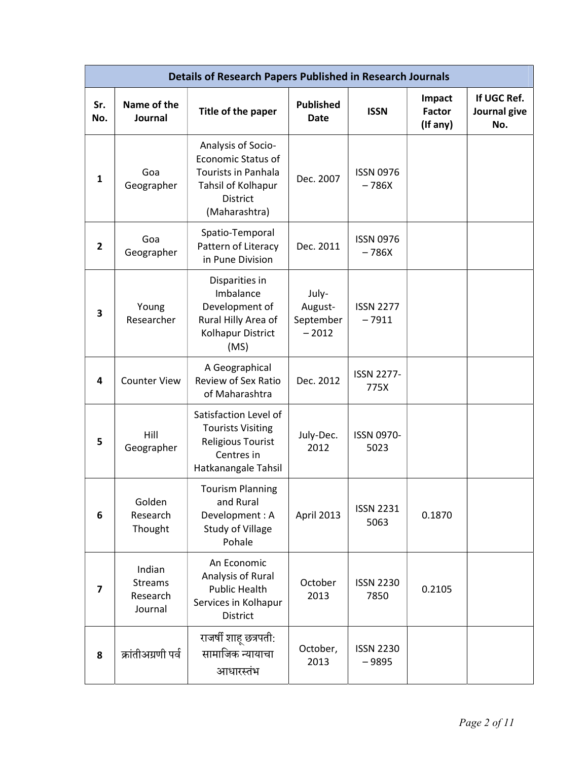|                         | <b>Details of Research Papers Published in Research Journals</b> |                                                                                                                                         |                                          |                             |                                     |                                    |  |
|-------------------------|------------------------------------------------------------------|-----------------------------------------------------------------------------------------------------------------------------------------|------------------------------------------|-----------------------------|-------------------------------------|------------------------------------|--|
| Sr.<br>No.              | Name of the<br>Journal                                           | Title of the paper                                                                                                                      | <b>Published</b><br><b>Date</b>          | <b>ISSN</b>                 | Impact<br><b>Factor</b><br>(If any) | If UGC Ref.<br>Journal give<br>No. |  |
| 1                       | Goa<br>Geographer                                                | Analysis of Socio-<br><b>Economic Status of</b><br><b>Tourists in Panhala</b><br>Tahsil of Kolhapur<br><b>District</b><br>(Maharashtra) | Dec. 2007                                | <b>ISSN 0976</b><br>$-786X$ |                                     |                                    |  |
| 2                       | Goa<br>Geographer                                                | Spatio-Temporal<br>Pattern of Literacy<br>in Pune Division                                                                              | Dec. 2011                                | <b>ISSN 0976</b><br>$-786X$ |                                     |                                    |  |
| 3                       | Young<br>Researcher                                              | Disparities in<br>Imbalance<br>Development of<br>Rural Hilly Area of<br>Kolhapur District<br>(MS)                                       | July-<br>August-<br>September<br>$-2012$ | <b>ISSN 2277</b><br>$-7911$ |                                     |                                    |  |
| 4                       | <b>Counter View</b>                                              | A Geographical<br>Review of Sex Ratio<br>of Maharashtra                                                                                 | Dec. 2012                                | <b>ISSN 2277-</b><br>775X   |                                     |                                    |  |
| 5                       | Hill<br>Geographer                                               | Satisfaction Level of<br><b>Tourists Visiting</b><br><b>Religious Tourist</b><br>Centres in<br>Hatkanangale Tahsil                      | July-Dec.<br>2012                        | <b>ISSN 0970-</b><br>5023   |                                     |                                    |  |
| 6                       | Golden<br>Research<br>Thought                                    | <b>Tourism Planning</b><br>and Rural<br>Development: A<br><b>Study of Village</b><br>Pohale                                             | April 2013                               | <b>ISSN 2231</b><br>5063    | 0.1870                              |                                    |  |
| $\overline{\mathbf{z}}$ | Indian<br><b>Streams</b><br>Research<br>Journal                  | An Economic<br>Analysis of Rural<br><b>Public Health</b><br>Services in Kolhapur<br>District                                            | October<br>2013                          | <b>ISSN 2230</b><br>7850    | 0.2105                              |                                    |  |
| 8                       | क्रांतीअग्रणी पर्व                                               | राजर्षी शाहू छत्रपती:<br>सामाजिक न्यायाचा<br>आधारस्तंभ                                                                                  | October,<br>2013                         | <b>ISSN 2230</b><br>$-9895$ |                                     |                                    |  |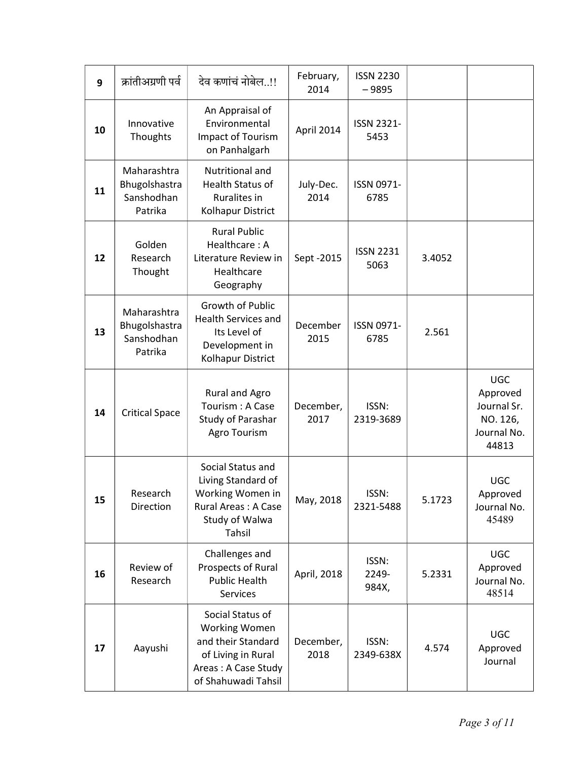| 9  | क्रांतीअग्रणी पर्व                                    | देव कणांचं नोबेल!!                                                                                                                 | February,<br>2014 | <b>ISSN 2230</b><br>$-9895$ |        |                                                                           |
|----|-------------------------------------------------------|------------------------------------------------------------------------------------------------------------------------------------|-------------------|-----------------------------|--------|---------------------------------------------------------------------------|
| 10 | Innovative<br>Thoughts                                | An Appraisal of<br>Environmental<br>Impact of Tourism<br>on Panhalgarh                                                             | April 2014        | ISSN 2321-<br>5453          |        |                                                                           |
| 11 | Maharashtra<br>Bhugolshastra<br>Sanshodhan<br>Patrika | Nutritional and<br><b>Health Status of</b><br>Ruralites in<br>Kolhapur District                                                    | July-Dec.<br>2014 | ISSN 0971-<br>6785          |        |                                                                           |
| 12 | Golden<br>Research<br>Thought                         | <b>Rural Public</b><br>Healthcare: A<br>Literature Review in<br>Healthcare<br>Geography                                            | Sept -2015        | <b>ISSN 2231</b><br>5063    | 3.4052 |                                                                           |
| 13 | Maharashtra<br>Bhugolshastra<br>Sanshodhan<br>Patrika | Growth of Public<br><b>Health Services and</b><br>Its Level of<br>Development in<br>Kolhapur District                              | December<br>2015  | ISSN 0971-<br>6785          | 2.561  |                                                                           |
| 14 | <b>Critical Space</b>                                 | <b>Rural and Agro</b><br>Tourism: A Case<br>Study of Parashar<br>Agro Tourism                                                      | December,<br>2017 | ISSN:<br>2319-3689          |        | <b>UGC</b><br>Approved<br>Journal Sr.<br>NO. 126,<br>Journal No.<br>44813 |
| 15 | Research<br>Direction                                 | Social Status and<br>Living Standard of<br>Working Women in<br>Rural Areas: A Case<br>Study of Walwa<br>Tahsil                     | May, 2018         | ISSN:<br>2321-5488          | 5.1723 | <b>UGC</b><br>Approved<br>Journal No.<br>45489                            |
| 16 | Review of<br>Research                                 | Challenges and<br>Prospects of Rural<br><b>Public Health</b><br><b>Services</b>                                                    | April, 2018       | ISSN:<br>2249-<br>984X,     | 5.2331 | <b>UGC</b><br>Approved<br>Journal No.<br>48514                            |
| 17 | Aayushi                                               | Social Status of<br><b>Working Women</b><br>and their Standard<br>of Living in Rural<br>Areas: A Case Study<br>of Shahuwadi Tahsil | December,<br>2018 | ISSN:<br>2349-638X          | 4.574  | <b>UGC</b><br>Approved<br>Journal                                         |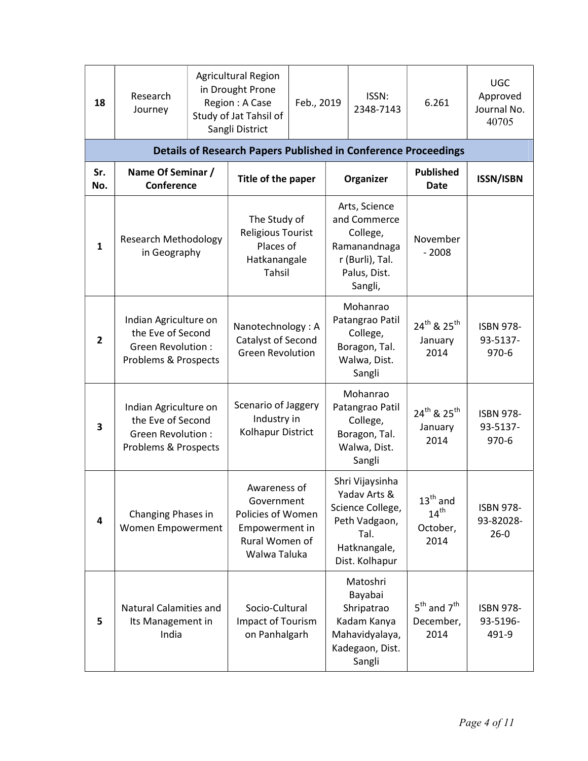| 18             | Research<br>Journey                                                                            | <b>Agricultural Region</b><br>in Drought Prone<br>Region: A Case<br>Study of Jat Tahsil of<br>Sangli District | Feb., 2019 | ISSN:<br>2348-7143                                                                                             | 6.261                                                    | <b>UGC</b><br>Approved<br>Journal No.<br>40705 |
|----------------|------------------------------------------------------------------------------------------------|---------------------------------------------------------------------------------------------------------------|------------|----------------------------------------------------------------------------------------------------------------|----------------------------------------------------------|------------------------------------------------|
|                |                                                                                                | <b>Details of Research Papers Published in Conference Proceedings</b>                                         |            |                                                                                                                |                                                          |                                                |
| Sr.<br>No.     | Name Of Seminar /<br>Conference                                                                | Title of the paper                                                                                            |            | Organizer                                                                                                      | <b>Published</b><br><b>Date</b>                          | <b>ISSN/ISBN</b>                               |
| $\mathbf{1}$   | <b>Research Methodology</b><br>in Geography                                                    | The Study of<br><b>Religious Tourist</b><br>Places of<br>Hatkanangale<br>Tahsil                               |            | Arts, Science<br>and Commerce<br>College,<br>Ramanandnaga<br>r (Burli), Tal.<br>Palus, Dist.<br>Sangli,        | November<br>$-2008$                                      |                                                |
| $\overline{2}$ | Indian Agriculture on<br>the Eve of Second<br><b>Green Revolution:</b><br>Problems & Prospects | Nanotechnology: A<br>Catalyst of Second<br><b>Green Revolution</b>                                            |            | Mohanrao<br>Patangrao Patil<br>College,<br>Boragon, Tal.<br>Walwa, Dist.<br>Sangli                             | 24 <sup>th</sup> & 25 <sup>th</sup><br>January<br>2014   | <b>ISBN 978-</b><br>93-5137-<br>$970 - 6$      |
| 3              | Indian Agriculture on<br>the Eve of Second<br><b>Green Revolution:</b><br>Problems & Prospects | Scenario of Jaggery<br>Industry in<br>Kolhapur District                                                       |            | Mohanrao<br>Patangrao Patil<br>College,<br>Boragon, Tal.<br>Walwa, Dist.<br>Sangli                             | 24 <sup>th</sup> & 25 <sup>th</sup><br>January<br>2014   | <b>ISBN 978-</b><br>93-5137-<br>970-6          |
| 4              | Changing Phases in<br>Women Empowerment                                                        | Awareness of<br>Government<br>Policies of Women<br>Empowerment in<br>Rural Women of<br>Walwa Taluka           |            | Shri Vijaysinha<br>Yadav Arts &<br>Science College,<br>Peth Vadgaon,<br>Tal.<br>Hatknangale,<br>Dist. Kolhapur | $13th$ and<br>14 <sup>th</sup><br>October,<br>2014       | <b>ISBN 978-</b><br>93-82028-<br>$26 - 0$      |
| 5              | <b>Natural Calamities and</b><br>Its Management in<br>India                                    | Socio-Cultural<br>Impact of Tourism<br>on Panhalgarh                                                          |            | Matoshri<br>Bayabai<br>Shripatrao<br>Kadam Kanya<br>Mahavidyalaya,<br>Kadegaon, Dist.<br>Sangli                | $5^{\text{th}}$ and $7^{\text{th}}$<br>December,<br>2014 | <b>ISBN 978-</b><br>93-5196-<br>491-9          |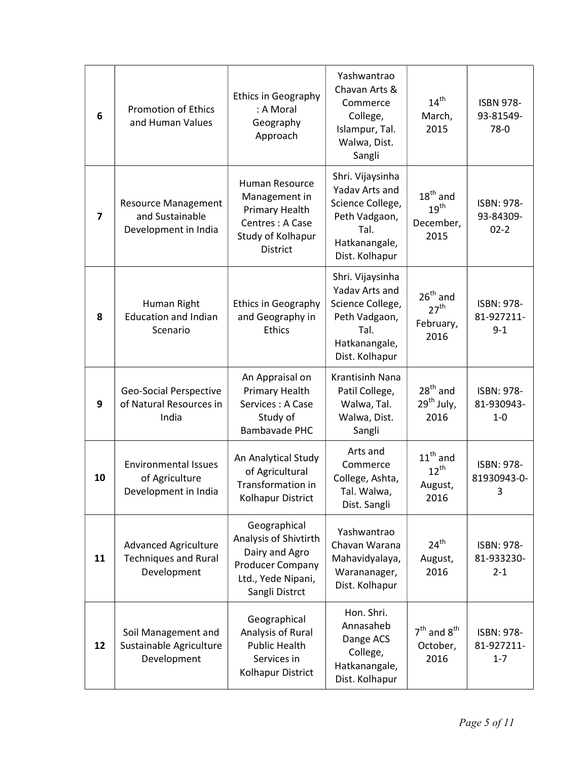| 6              | <b>Promotion of Ethics</b><br>and Human Values                            | <b>Ethics in Geography</b><br>: A Moral<br>Geography<br>Approach                                                    | Yashwantrao<br>Chavan Arts &<br>Commerce<br>College,<br>Islampur, Tal.<br>Walwa, Dist.<br>Sangli                   | 14 <sup>th</sup><br>March,<br>2015                     | <b>ISBN 978-</b><br>93-81549-<br>78-0 |
|----------------|---------------------------------------------------------------------------|---------------------------------------------------------------------------------------------------------------------|--------------------------------------------------------------------------------------------------------------------|--------------------------------------------------------|---------------------------------------|
| $\overline{7}$ | <b>Resource Management</b><br>and Sustainable<br>Development in India     | Human Resource<br>Management in<br>Primary Health<br>Centres: A Case<br>Study of Kolhapur<br><b>District</b>        | Shri. Vijaysinha<br>Yadav Arts and<br>Science College,<br>Peth Vadgaon,<br>Tal.<br>Hatkanangale,<br>Dist. Kolhapur | $18th$ and<br>19 <sup>th</sup><br>December,<br>2015    | ISBN: 978-<br>93-84309-<br>$02 - 2$   |
| 8              | Human Right<br><b>Education and Indian</b><br>Scenario                    | <b>Ethics in Geography</b><br>and Geography in<br><b>Ethics</b>                                                     | Shri. Vijaysinha<br>Yadav Arts and<br>Science College,<br>Peth Vadgaon,<br>Tal.<br>Hatkanangale,<br>Dist. Kolhapur | $26^{th}$ and<br>27 <sup>th</sup><br>February,<br>2016 | ISBN: 978-<br>81-927211-<br>$9 - 1$   |
| 9              | Geo-Social Perspective<br>of Natural Resources in<br>India                | An Appraisal on<br>Primary Health<br>Services: A Case<br>Study of<br><b>Bambavade PHC</b>                           | Krantisinh Nana<br>Patil College,<br>Walwa, Tal.<br>Walwa, Dist.<br>Sangli                                         | $28th$ and<br>29 <sup>th</sup> July,<br>2016           | ISBN: 978-<br>81-930943-<br>$1 - 0$   |
| 10             | <b>Environmental Issues</b><br>of Agriculture<br>Development in India     | An Analytical Study<br>of Agricultural<br>Transformation in<br>Kolhapur District                                    | Arts and<br>Commerce<br>College, Ashta,<br>Tal. Walwa,<br>Dist. Sangli                                             | $11^{\text{th}}$ and<br>$12^{th}$<br>August,<br>2016   | ISBN: 978-<br>81930943-0-<br>3        |
| 11             | <b>Advanced Agriculture</b><br><b>Techniques and Rural</b><br>Development | Geographical<br>Analysis of Shivtirth<br>Dairy and Agro<br>Producer Company<br>Ltd., Yede Nipani,<br>Sangli Distrct | Yashwantrao<br>Chavan Warana<br>Mahavidyalaya,<br>Warananager,<br>Dist. Kolhapur                                   | $24^{\text{th}}$<br>August,<br>2016                    | ISBN: 978-<br>81-933230-<br>$2 - 1$   |
| 12             | Soil Management and<br>Sustainable Agriculture<br>Development             | Geographical<br>Analysis of Rural<br><b>Public Health</b><br>Services in<br>Kolhapur District                       | Hon. Shri.<br>Annasaheb<br>Dange ACS<br>College,<br>Hatkanangale,<br>Dist. Kolhapur                                | $7th$ and $8th$<br>October,<br>2016                    | ISBN: 978-<br>81-927211-<br>$1 - 7$   |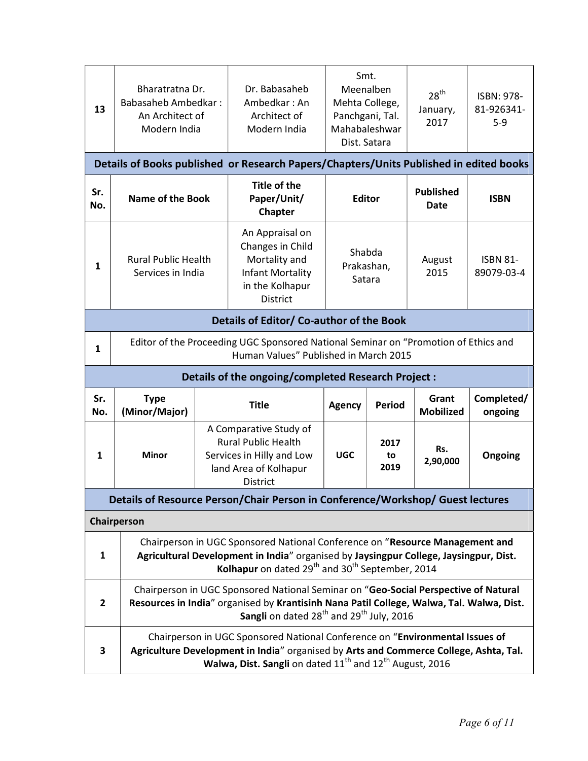| 13             | Bharatratna Dr.<br><b>Babasaheb Ambedkar:</b><br>An Architect of<br>Modern India                                                                                                                                                           |                                                                                                                                                                                                                                       | Dr. Babasaheb<br>Ambedkar: An<br>Architect of<br>Modern India                                                                                                                                                                                    | Smt.<br>Meenalben<br>Mehta College,<br>Panchgani, Tal.<br>Mahabaleshwar<br>Dist. Satara |                    | 28 <sup>th</sup><br>January,<br>2017 | ISBN: 978-<br>81-926341-<br>$5-9$ |
|----------------|--------------------------------------------------------------------------------------------------------------------------------------------------------------------------------------------------------------------------------------------|---------------------------------------------------------------------------------------------------------------------------------------------------------------------------------------------------------------------------------------|--------------------------------------------------------------------------------------------------------------------------------------------------------------------------------------------------------------------------------------------------|-----------------------------------------------------------------------------------------|--------------------|--------------------------------------|-----------------------------------|
|                |                                                                                                                                                                                                                                            |                                                                                                                                                                                                                                       | Details of Books published or Research Papers/Chapters/Units Published in edited books                                                                                                                                                           |                                                                                         |                    |                                      |                                   |
| Sr.<br>No.     | <b>Name of the Book</b>                                                                                                                                                                                                                    |                                                                                                                                                                                                                                       | Title of the<br>Paper/Unit/<br>Chapter                                                                                                                                                                                                           | <b>Editor</b>                                                                           |                    | <b>Published</b><br>Date             | <b>ISBN</b>                       |
| 1              | <b>Rural Public Health</b><br>Services in India                                                                                                                                                                                            |                                                                                                                                                                                                                                       | An Appraisal on<br>Changes in Child<br>Mortality and<br>Infant Mortality<br>in the Kolhapur<br><b>District</b>                                                                                                                                   | Shabda<br>Prakashan,<br>Satara                                                          |                    | August<br>2015                       | <b>ISBN 81-</b><br>89079-03-4     |
|                |                                                                                                                                                                                                                                            |                                                                                                                                                                                                                                       | Details of Editor/ Co-author of the Book                                                                                                                                                                                                         |                                                                                         |                    |                                      |                                   |
| 1              |                                                                                                                                                                                                                                            |                                                                                                                                                                                                                                       | Editor of the Proceeding UGC Sponsored National Seminar on "Promotion of Ethics and<br>Human Values" Published in March 2015                                                                                                                     |                                                                                         |                    |                                      |                                   |
|                |                                                                                                                                                                                                                                            |                                                                                                                                                                                                                                       | Details of the ongoing/completed Research Project :                                                                                                                                                                                              |                                                                                         |                    |                                      |                                   |
| Sr.<br>No.     | <b>Type</b><br>(Minor/Major)                                                                                                                                                                                                               |                                                                                                                                                                                                                                       | <b>Title</b>                                                                                                                                                                                                                                     | <b>Agency</b>                                                                           | <b>Period</b>      | Grant<br><b>Mobilized</b>            | Completed/<br>ongoing             |
| 1              | <b>Minor</b>                                                                                                                                                                                                                               |                                                                                                                                                                                                                                       | A Comparative Study of<br><b>Rural Public Health</b><br>Services in Hilly and Low<br>land Area of Kolhapur<br>District                                                                                                                           | <b>UGC</b>                                                                              | 2017<br>to<br>2019 | Rs.<br>2,90,000                      | Ongoing                           |
|                | Details of Resource Person/Chair Person in Conference/Workshop/ Guest lectures                                                                                                                                                             |                                                                                                                                                                                                                                       |                                                                                                                                                                                                                                                  |                                                                                         |                    |                                      |                                   |
|                | Chairperson                                                                                                                                                                                                                                |                                                                                                                                                                                                                                       |                                                                                                                                                                                                                                                  |                                                                                         |                    |                                      |                                   |
| $\mathbf{1}$   |                                                                                                                                                                                                                                            |                                                                                                                                                                                                                                       | Chairperson in UGC Sponsored National Conference on "Resource Management and<br>Agricultural Development in India" organised by Jaysingpur College, Jaysingpur, Dist.<br>Kolhapur on dated 29 <sup>th</sup> and 30 <sup>th</sup> September, 2014 |                                                                                         |                    |                                      |                                   |
| $\overline{2}$ |                                                                                                                                                                                                                                            | Chairperson in UGC Sponsored National Seminar on "Geo-Social Perspective of Natural<br>Resources in India" organised by Krantisinh Nana Patil College, Walwa, Tal. Walwa, Dist.<br>Sangli on dated $28^{th}$ and $29^{th}$ July, 2016 |                                                                                                                                                                                                                                                  |                                                                                         |                    |                                      |                                   |
| 3              | Chairperson in UGC Sponsored National Conference on "Environmental Issues of<br>Agriculture Development in India" organised by Arts and Commerce College, Ashta, Tal.<br>Walwa, Dist. Sangli on dated $11^{th}$ and $12^{th}$ August, 2016 |                                                                                                                                                                                                                                       |                                                                                                                                                                                                                                                  |                                                                                         |                    |                                      |                                   |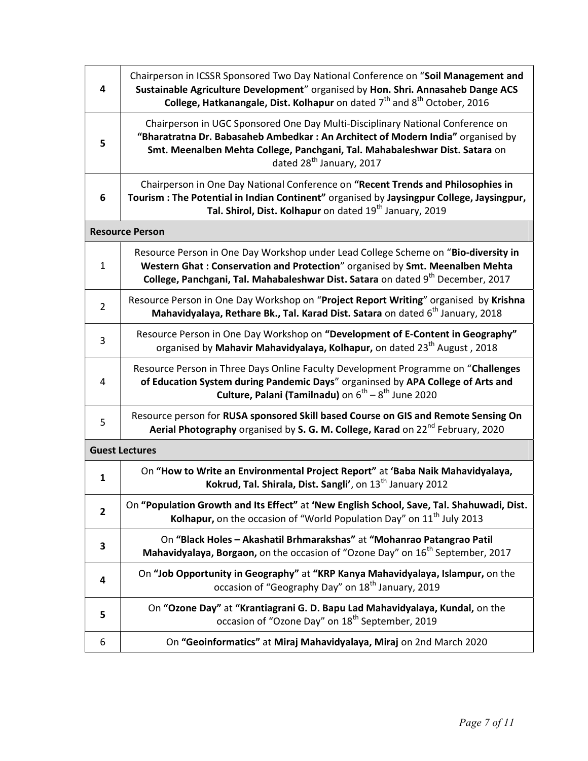| 4              | Chairperson in ICSSR Sponsored Two Day National Conference on "Soil Management and<br>Sustainable Agriculture Development" organised by Hon. Shri. Annasaheb Dange ACS<br>College, Hatkanangale, Dist. Kolhapur on dated 7 <sup>th</sup> and 8 <sup>th</sup> October, 2016               |
|----------------|------------------------------------------------------------------------------------------------------------------------------------------------------------------------------------------------------------------------------------------------------------------------------------------|
| 5              | Chairperson in UGC Sponsored One Day Multi-Disciplinary National Conference on<br>"Bharatratna Dr. Babasaheb Ambedkar: An Architect of Modern India" organised by<br>Smt. Meenalben Mehta College, Panchgani, Tal. Mahabaleshwar Dist. Satara on<br>dated 28 <sup>th</sup> January, 2017 |
| 6              | Chairperson in One Day National Conference on "Recent Trends and Philosophies in<br>Tourism: The Potential in Indian Continent" organised by Jaysingpur College, Jaysingpur,<br>Tal. Shirol, Dist. Kolhapur on dated 19 <sup>th</sup> January, 2019                                      |
|                | <b>Resource Person</b>                                                                                                                                                                                                                                                                   |
| $\mathbf{1}$   | Resource Person in One Day Workshop under Lead College Scheme on "Bio-diversity in<br>Western Ghat: Conservation and Protection" organised by Smt. Meenalben Mehta<br>College, Panchgani, Tal. Mahabaleshwar Dist. Satara on dated 9 <sup>th</sup> December, 2017                        |
| $\overline{2}$ | Resource Person in One Day Workshop on "Project Report Writing" organised by Krishna<br>Mahavidyalaya, Rethare Bk., Tal. Karad Dist. Satara on dated 6 <sup>th</sup> January, 2018                                                                                                       |
| 3              | Resource Person in One Day Workshop on "Development of E-Content in Geography"<br>organised by Mahavir Mahavidyalaya, Kolhapur, on dated 23 <sup>th</sup> August, 2018                                                                                                                   |
| 4              | Resource Person in Three Days Online Faculty Development Programme on "Challenges<br>of Education System during Pandemic Days" organinsed by APA College of Arts and<br><b>Culture, Palani (Tamilnadu)</b> on $6^{th} - 8^{th}$ June 2020                                                |
| 5              | Resource person for RUSA sponsored Skill based Course on GIS and Remote Sensing On<br>Aerial Photography organised by S. G. M. College, Karad on 22 <sup>nd</sup> February, 2020                                                                                                         |
|                | <b>Guest Lectures</b>                                                                                                                                                                                                                                                                    |
| 1              | On "How to Write an Environmental Project Report" at 'Baba Naik Mahavidyalaya,<br>Kokrud, Tal. Shirala, Dist. Sangli', on 13 <sup>th</sup> January 2012                                                                                                                                  |
| $\overline{2}$ | On "Population Growth and Its Effect" at 'New English School, Save, Tal. Shahuwadi, Dist.<br>Kolhapur, on the occasion of "World Population Day" on 11 <sup>th</sup> July 2013                                                                                                           |
| 3              | On "Black Holes - Akashatil Brhmarakshas" at "Mohanrao Patangrao Patil<br>Mahavidyalaya, Borgaon, on the occasion of "Ozone Day" on 16 <sup>th</sup> September, 2017                                                                                                                     |
| 4              | On "Job Opportunity in Geography" at "KRP Kanya Mahavidyalaya, Islampur, on the<br>occasion of "Geography Day" on 18 <sup>th</sup> January, 2019                                                                                                                                         |
| 5              | On "Ozone Day" at "Krantiagrani G. D. Bapu Lad Mahavidyalaya, Kundal, on the<br>occasion of "Ozone Day" on 18 <sup>th</sup> September, 2019                                                                                                                                              |
| 6              | On "Geoinformatics" at Miraj Mahavidyalaya, Miraj on 2nd March 2020                                                                                                                                                                                                                      |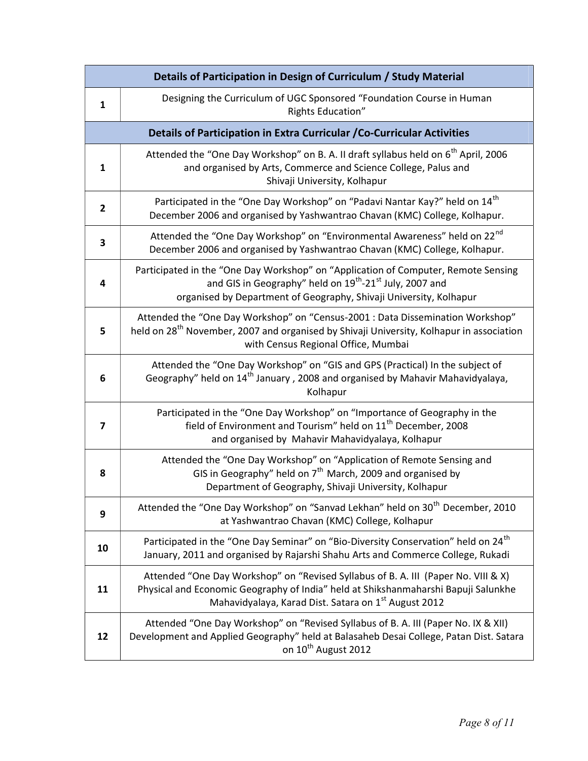|              | Details of Participation in Design of Curriculum / Study Material                                                                                                                                                                            |
|--------------|----------------------------------------------------------------------------------------------------------------------------------------------------------------------------------------------------------------------------------------------|
| $\mathbf{1}$ | Designing the Curriculum of UGC Sponsored "Foundation Course in Human<br>Rights Education"                                                                                                                                                   |
|              | Details of Participation in Extra Curricular / Co-Curricular Activities                                                                                                                                                                      |
| 1            | Attended the "One Day Workshop" on B. A. II draft syllabus held on 6 <sup>th</sup> April, 2006<br>and organised by Arts, Commerce and Science College, Palus and<br>Shivaji University, Kolhapur                                             |
| $\mathbf{2}$ | Participated in the "One Day Workshop" on "Padavi Nantar Kay?" held on 14 <sup>th</sup><br>December 2006 and organised by Yashwantrao Chavan (KMC) College, Kolhapur.                                                                        |
| 3            | Attended the "One Day Workshop" on "Environmental Awareness" held on 22nd<br>December 2006 and organised by Yashwantrao Chavan (KMC) College, Kolhapur.                                                                                      |
| 4            | Participated in the "One Day Workshop" on "Application of Computer, Remote Sensing<br>and GIS in Geography" held on 19 <sup>th</sup> -21 <sup>st</sup> July, 2007 and<br>organised by Department of Geography, Shivaji University, Kolhapur  |
| 5            | Attended the "One Day Workshop" on "Census-2001 : Data Dissemination Workshop"<br>held on 28 <sup>th</sup> November, 2007 and organised by Shivaji University, Kolhapur in association<br>with Census Regional Office, Mumbai                |
| 6            | Attended the "One Day Workshop" on "GIS and GPS (Practical) In the subject of<br>Geography" held on 14 <sup>th</sup> January, 2008 and organised by Mahavir Mahavidyalaya,<br>Kolhapur                                                       |
| 7            | Participated in the "One Day Workshop" on "Importance of Geography in the<br>field of Environment and Tourism" held on 11 <sup>th</sup> December, 2008<br>and organised by Mahavir Mahavidyalaya, Kolhapur                                   |
| 8            | Attended the "One Day Workshop" on "Application of Remote Sensing and<br>GIS in Geography" held on 7 <sup>th</sup> March, 2009 and organised by<br>Department of Geography, Shivaji University, Kolhapur                                     |
| 9            | Attended the "One Day Workshop" on "Sanvad Lekhan" held on 30 <sup>th</sup> December, 2010<br>at Yashwantrao Chavan (KMC) College, Kolhapur                                                                                                  |
| 10           | Participated in the "One Day Seminar" on "Bio-Diversity Conservation" held on 24 <sup>th</sup><br>January, 2011 and organised by Rajarshi Shahu Arts and Commerce College, Rukadi                                                            |
| 11           | Attended "One Day Workshop" on "Revised Syllabus of B. A. III (Paper No. VIII & X)<br>Physical and Economic Geography of India" held at Shikshanmaharshi Bapuji Salunkhe<br>Mahavidyalaya, Karad Dist. Satara on 1 <sup>st</sup> August 2012 |
| 12           | Attended "One Day Workshop" on "Revised Syllabus of B. A. III (Paper No. IX & XII)<br>Development and Applied Geography" held at Balasaheb Desai College, Patan Dist. Satara<br>on 10 <sup>th</sup> August 2012                              |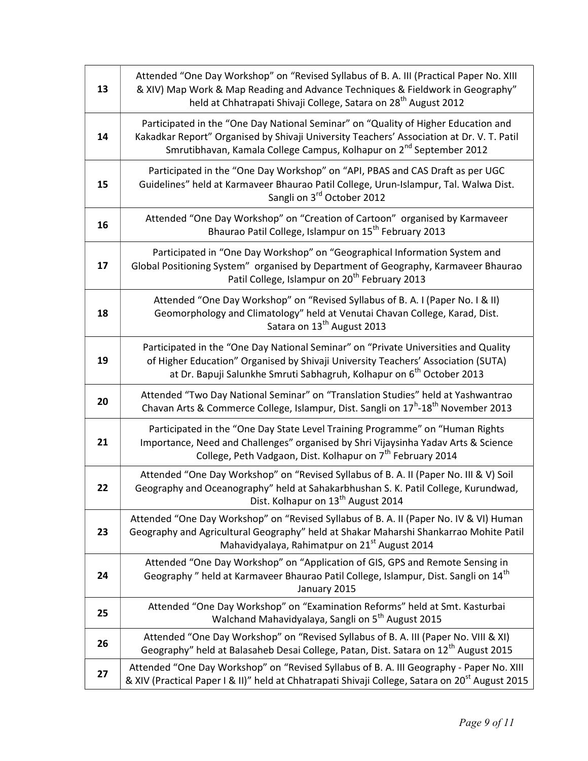| 13 | Attended "One Day Workshop" on "Revised Syllabus of B. A. III (Practical Paper No. XIII<br>& XIV) Map Work & Map Reading and Advance Techniques & Fieldwork in Geography"<br>held at Chhatrapati Shivaji College, Satara on 28 <sup>th</sup> August 2012           |
|----|--------------------------------------------------------------------------------------------------------------------------------------------------------------------------------------------------------------------------------------------------------------------|
| 14 | Participated in the "One Day National Seminar" on "Quality of Higher Education and<br>Kakadkar Report" Organised by Shivaji University Teachers' Association at Dr. V. T. Patil<br>Smrutibhavan, Kamala College Campus, Kolhapur on 2 <sup>nd</sup> September 2012 |
| 15 | Participated in the "One Day Workshop" on "API, PBAS and CAS Draft as per UGC<br>Guidelines" held at Karmaveer Bhaurao Patil College, Urun-Islampur, Tal. Walwa Dist.<br>Sangli on 3rd October 2012                                                                |
| 16 | Attended "One Day Workshop" on "Creation of Cartoon" organised by Karmaveer<br>Bhaurao Patil College, Islampur on 15 <sup>th</sup> February 2013                                                                                                                   |
| 17 | Participated in "One Day Workshop" on "Geographical Information System and<br>Global Positioning System" organised by Department of Geography, Karmaveer Bhaurao<br>Patil College, Islampur on 20 <sup>th</sup> February 2013                                      |
| 18 | Attended "One Day Workshop" on "Revised Syllabus of B. A. I (Paper No. I & II)<br>Geomorphology and Climatology" held at Venutai Chavan College, Karad, Dist.<br>Satara on 13 <sup>th</sup> August 2013                                                            |
| 19 | Participated in the "One Day National Seminar" on "Private Universities and Quality<br>of Higher Education" Organised by Shivaji University Teachers' Association (SUTA)<br>at Dr. Bapuji Salunkhe Smruti Sabhagruh, Kolhapur on 6 <sup>th</sup> October 2013      |
| 20 | Attended "Two Day National Seminar" on "Translation Studies" held at Yashwantrao<br>Chavan Arts & Commerce College, Islampur, Dist. Sangli on 17 <sup>h</sup> -18 <sup>th</sup> November 2013                                                                      |
| 21 | Participated in the "One Day State Level Training Programme" on "Human Rights<br>Importance, Need and Challenges" organised by Shri Vijaysinha Yadav Arts & Science<br>College, Peth Vadgaon, Dist. Kolhapur on 7 <sup>th</sup> February 2014                      |
| 22 | Attended "One Day Workshop" on "Revised Syllabus of B. A. II (Paper No. III & V) Soil<br>Geography and Oceanography" held at Sahakarbhushan S. K. Patil College, Kurundwad,<br>Dist. Kolhapur on 13 <sup>th</sup> August 2014                                      |
| 23 | Attended "One Day Workshop" on "Revised Syllabus of B. A. II (Paper No. IV & VI) Human<br>Geography and Agricultural Geography" held at Shakar Maharshi Shankarrao Mohite Patil<br>Mahavidyalaya, Rahimatpur on 21st August 2014                                   |
| 24 | Attended "One Day Workshop" on "Application of GIS, GPS and Remote Sensing in<br>Geography" held at Karmaveer Bhaurao Patil College, Islampur, Dist. Sangli on 14 <sup>th</sup><br>January 2015                                                                    |
| 25 | Attended "One Day Workshop" on "Examination Reforms" held at Smt. Kasturbai<br>Walchand Mahavidyalaya, Sangli on 5 <sup>th</sup> August 2015                                                                                                                       |
| 26 | Attended "One Day Workshop" on "Revised Syllabus of B. A. III (Paper No. VIII & XI)<br>Geography" held at Balasaheb Desai College, Patan, Dist. Satara on 12 <sup>th</sup> August 2015                                                                             |
| 27 | Attended "One Day Workshop" on "Revised Syllabus of B. A. III Geography - Paper No. XIII<br>& XIV (Practical Paper I & II)" held at Chhatrapati Shivaji College, Satara on 20 <sup>st</sup> August 2015                                                            |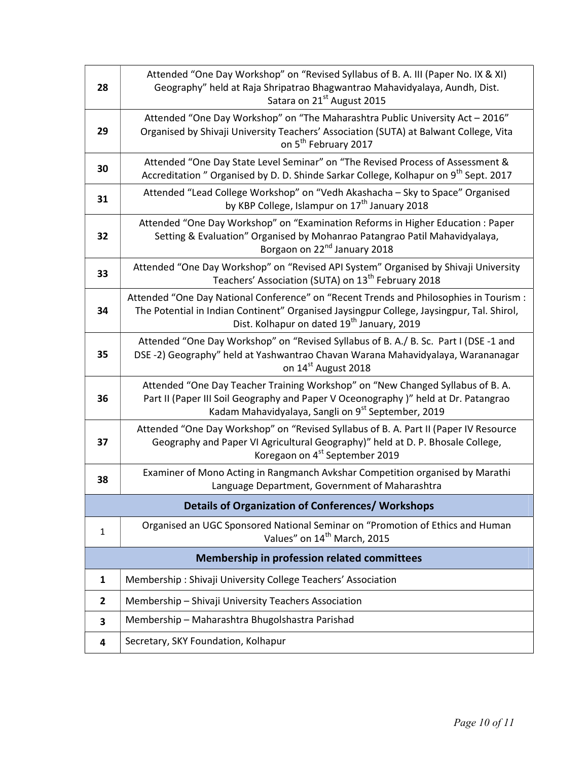| 28           | Attended "One Day Workshop" on "Revised Syllabus of B. A. III (Paper No. IX & XI)<br>Geography" held at Raja Shripatrao Bhagwantrao Mahavidyalaya, Aundh, Dist.<br>Satara on 21 <sup>st</sup> August 2015                                     |
|--------------|-----------------------------------------------------------------------------------------------------------------------------------------------------------------------------------------------------------------------------------------------|
| 29           | Attended "One Day Workshop" on "The Maharashtra Public University Act - 2016"<br>Organised by Shivaji University Teachers' Association (SUTA) at Balwant College, Vita<br>on 5 <sup>th</sup> February 2017                                    |
| 30           | Attended "One Day State Level Seminar" on "The Revised Process of Assessment &<br>Accreditation " Organised by D. D. Shinde Sarkar College, Kolhapur on 9 <sup>th</sup> Sept. 2017                                                            |
| 31           | Attended "Lead College Workshop" on "Vedh Akashacha - Sky to Space" Organised<br>by KBP College, Islampur on 17 <sup>th</sup> January 2018                                                                                                    |
| 32           | Attended "One Day Workshop" on "Examination Reforms in Higher Education : Paper<br>Setting & Evaluation" Organised by Mohanrao Patangrao Patil Mahavidyalaya,<br>Borgaon on 22 <sup>nd</sup> January 2018                                     |
| 33           | Attended "One Day Workshop" on "Revised API System" Organised by Shivaji University<br>Teachers' Association (SUTA) on 13 <sup>th</sup> February 2018                                                                                         |
| 34           | Attended "One Day National Conference" on "Recent Trends and Philosophies in Tourism :<br>The Potential in Indian Continent" Organised Jaysingpur College, Jaysingpur, Tal. Shirol,<br>Dist. Kolhapur on dated 19 <sup>th</sup> January, 2019 |
| 35           | Attended "One Day Workshop" on "Revised Syllabus of B. A./ B. Sc. Part I (DSE -1 and<br>DSE-2) Geography" held at Yashwantrao Chavan Warana Mahavidyalaya, Warananagar<br>on 14 <sup>st</sup> August 2018                                     |
| 36           | Attended "One Day Teacher Training Workshop" on "New Changed Syllabus of B.A.<br>Part II (Paper III Soil Geography and Paper V Oceonography)" held at Dr. Patangrao<br>Kadam Mahavidyalaya, Sangli on 9 <sup>st</sup> September, 2019         |
| 37           | Attended "One Day Workshop" on "Revised Syllabus of B. A. Part II (Paper IV Resource<br>Geography and Paper VI Agricultural Geography)" held at D. P. Bhosale College,<br>Koregaon on 4 <sup>st</sup> September 2019                          |
| 38           | Examiner of Mono Acting in Rangmanch Avkshar Competition organised by Marathi<br>Language Department, Government of Maharashtra                                                                                                               |
|              | <b>Details of Organization of Conferences/ Workshops</b>                                                                                                                                                                                      |
| $\mathbf{1}$ | Organised an UGC Sponsored National Seminar on "Promotion of Ethics and Human<br>Values" on 14 <sup>th</sup> March, 2015                                                                                                                      |
|              | Membership in profession related committees                                                                                                                                                                                                   |
| 1            | Membership: Shivaji University College Teachers' Association                                                                                                                                                                                  |
| $\mathbf{2}$ | Membership - Shivaji University Teachers Association                                                                                                                                                                                          |
| 3            | Membership - Maharashtra Bhugolshastra Parishad                                                                                                                                                                                               |
| 4            | Secretary, SKY Foundation, Kolhapur                                                                                                                                                                                                           |